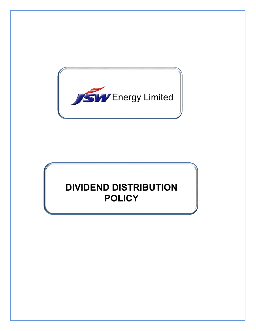

# **DIVIDEND DISTRIBUTION POLICY**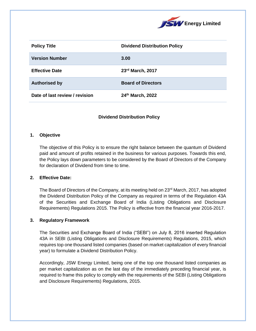

| <b>Policy Title</b>            | <b>Dividend Distribution Policy</b> |
|--------------------------------|-------------------------------------|
| <b>Version Number</b>          | 3.00                                |
| <b>Effective Date</b>          | 23rd March, 2017                    |
| <b>Authorised by</b>           | <b>Board of Directors</b>           |
| Date of last review / revision | 24th March, 2022                    |

## **Dividend Distribution Policy**

#### **1. Objective**

The objective of this Policy is to ensure the right balance between the quantum of Dividend paid and amount of profits retained in the business for various purposes. Towards this end, the Policy lays down parameters to be considered by the Board of Directors of the Company for declaration of Dividend from time to time.

#### **2. Effective Date:**

The Board of Directors of the Company, at its meeting held on  $23<sup>rd</sup>$  March, 2017, has adopted the Dividend Distribution Policy of the Company as required in terms of the Regulation 43A of the Securities and Exchange Board of India (Listing Obligations and Disclosure Requirements) Regulations 2015. The Policy is effective from the financial year 2016-2017.

#### **3. Regulatory Framework**

The Securities and Exchange Board of India ("SEBI") on July 8, 2016 inserted Regulation 43A in SEBI (Listing Obligations and Disclosure Requirements) Regulations, 2015, which requires top one thousand listed companies (based on market capitalization of every financial year) to formulate a Dividend Distribution Policy.

Accordingly, JSW Energy Limited, being one of the top one thousand listed companies as per market capitalization as on the last day of the immediately preceding financial year, is required to frame this policy to comply with the requirements of the SEBI (Listing Obligations and Disclosure Requirements) Regulations, 2015.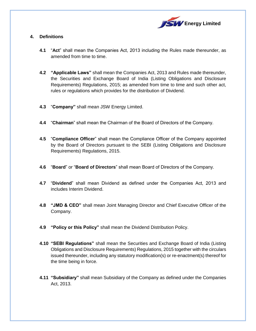

# **4. Definitions**

- **4.1** "**Act**" shall mean the Companies Act, 2013 including the Rules made thereunder, as amended from time to time.
- **4.2 "Applicable Laws"** shall mean the Companies Act, 2013 and Rules made thereunder, the Securities and Exchange Board of India (Listing Obligations and Disclosure Requirements) Regulations, 2015; as amended from time to time and such other act, rules or regulations which provides for the distribution of Dividend.
- **4.3** "**Company"** shall mean JSW Energy Limited.
- **4.4** "**Chairman**" shall mean the Chairman of the Board of Directors of the Company.
- **4.5** "**Compliance Officer**" shall mean the Compliance Officer of the Company appointed by the Board of Directors pursuant to the SEBI (Listing Obligations and Disclosure Requirements) Regulations, 2015.
- **4.6** "**Board**" or "**Board of Directors**" shall mean Board of Directors of the Company.
- **4.7** "**Dividend**" shall mean Dividend as defined under the Companies Act, 2013 and includes Interim Dividend.
- **4.8 "JMD & CEO"** shall mean Joint Managing Director and Chief Executive Officer of the Company.
- **4.9 "Policy or this Policy"** shall mean the Dividend Distribution Policy.
- **4.10 "SEBI Regulations"** shall mean the Securities and Exchange Board of India (Listing Obligations and Disclosure Requirements) Regulations, 2015 together with the circulars issued thereunder, including any statutory modification(s) or re-enactment(s) thereof for the time being in force.
- **4.11 "Subsidiary"** shall mean Subsidiary of the Company as defined under the Companies Act, 2013.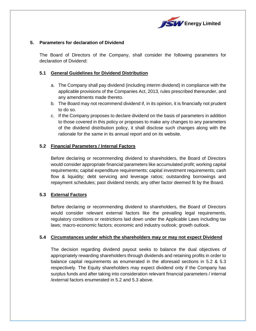

## **5. Parameters for declaration of Dividend**

The Board of Directors of the Company, shall consider the following parameters for declaration of Dividend:

#### **5.1 General Guidelines for Dividend Distribution**

- a. The Company shall pay dividend (including interim dividend) in compliance with the applicable provisions of the Companies Act, 2013, rules prescribed thereunder, and any amendments made thereto.
- b. The Board may not recommend dividend if, in its opinion, it is financially not prudent to do so.
- c. If the Company proposes to declare dividend on the basis of parameters in addition to those covered in this policy or proposes to make any changes to any parameters of the dividend distribution policy, it shall disclose such changes along with the rationale for the same in its annual report and on its website.

#### **5.2 Financial Parameters / Internal Factors**

Before declaring or recommending dividend to shareholders, the Board of Directors would consider appropriate financial parameters like accumulated profit; working capital requirements; capital expenditure requirements; capital investment requirements; cash flow & liquidity; debt servicing and leverage ratios; outstanding borrowings and repayment schedules; past dividend trends; any other factor deemed fit by the Board.

## **5.3 External Factors**

Before declaring or recommending dividend to shareholders, the Board of Directors would consider relevant external factors like the prevailing legal requirements, regulatory conditions or restrictions laid down under the Applicable Laws including tax laws; macro-economic factors; economic and industry outlook; growth outlook.

#### **5.4 Circumstances under which the shareholders may or may not expect Dividend**

The decision regarding dividend payout seeks to balance the dual objectives of appropriately rewarding shareholders through dividends and retaining profits in order to balance capital requirements as enumerated in the aforesaid sections in 5.2 & 5.3 respectively. The Equity shareholders may expect dividend only if the Company has surplus funds and after taking into consideration relevant financial parameters / internal /external factors enumerated in 5.2 and 5.3 above.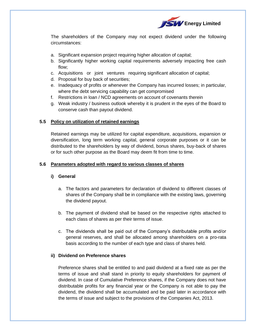

The shareholders of the Company may not expect dividend under the following circumstances:

- a. Significant expansion project requiring higher allocation of capital;
- b. Significantly higher working capital requirements adversely impacting free cash flow;
- c. Acquisitions or joint ventures requiring significant allocation of capital;
- d. Proposal for buy back of securities;
- e. Inadequacy of profits or whenever the Company has incurred losses; in particular, where the debt servicing capability can get compromised
- f. Restrictions in loan / NCD agreements on account of covenants therein
- g. Weak industry / business outlook whereby it is prudent in the eyes of the Board to conserve cash than payout dividend.

# **5.5 Policy on utilization of retained earnings**

Retained earnings may be utilized for capital expenditure, acquisitions, expansion or diversification, long term working capital, general corporate purposes or it can be distributed to the shareholders by way of dividend, bonus shares, buy-back of shares or for such other purpose as the Board may deem fit from time to time.

# **5.6 Parameters adopted with regard to various classes of shares**

## **i) General**

- a. The factors and parameters for declaration of dividend to different classes of shares of the Company shall be in compliance with the existing laws, governing the dividend payout.
- b. The payment of dividend shall be based on the respective rights attached to each class of shares as per their terms of issue.
- c. The dividends shall be paid out of the Company's distributable profits and/or general reserves, and shall be allocated among shareholders on a pro-rata basis according to the number of each type and class of shares held.

## **ii) Dividend on Preference shares**

Preference shares shall be entitled to and paid dividend at a fixed rate as per the terms of issue and shall stand in priority to equity shareholders for payment of dividend. In case of Cumulative Preference shares, if the Company does not have distributable profits for any financial year or the Company is not able to pay the dividend, the dividend shall be accumulated and be paid later in accordance with the terms of issue and subject to the provisions of the Companies Act, 2013.